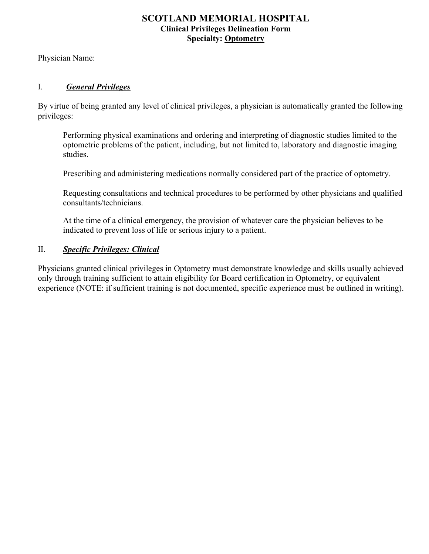## **SCOTLAND MEMORIAL HOSPITAL Clinical Privileges Delineation Form Specialty: Optometry**

Physician Name:

## I. *General Privileges*

By virtue of being granted any level of clinical privileges, a physician is automatically granted the following privileges:

Performing physical examinations and ordering and interpreting of diagnostic studies limited to the optometric problems of the patient, including, but not limited to, laboratory and diagnostic imaging studies.

Prescribing and administering medications normally considered part of the practice of optometry.

Requesting consultations and technical procedures to be performed by other physicians and qualified consultants/technicians.

At the time of a clinical emergency, the provision of whatever care the physician believes to be indicated to prevent loss of life or serious injury to a patient.

## II. *Specific Privileges: Clinical*

Physicians granted clinical privileges in Optometry must demonstrate knowledge and skills usually achieved only through training sufficient to attain eligibility for Board certification in Optometry, or equivalent experience (NOTE: if sufficient training is not documented, specific experience must be outlined in writing).